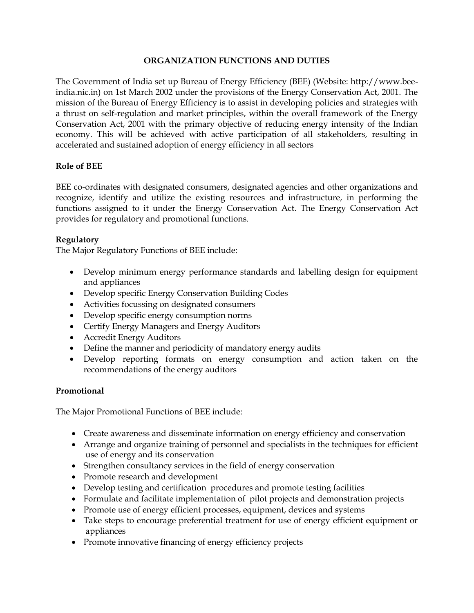### **ORGANIZATION FUNCTIONS AND DUTIES**

The Government of India set up Bureau of Energy Efficiency (BEE) (Website: http://www.beeindia.nic.in) on 1st March 2002 under the provisions of the Energy Conservation Act, 2001. The mission of the Bureau of Energy Efficiency is to assist in developing policies and strategies with a thrust on self-regulation and market principles, within the overall framework of the Energy Conservation Act, 2001 with the primary objective of reducing energy intensity of the Indian economy. This will be achieved with active participation of all stakeholders, resulting in accelerated and sustained adoption of energy efficiency in all sectors

## **Role of BEE**

BEE co-ordinates with designated consumers, designated agencies and other organizations and recognize, identify and utilize the existing resources and infrastructure, in performing the functions assigned to it under the Energy Conservation Act. The Energy Conservation Act provides for regulatory and promotional functions.

## **Regulatory**

The Major Regulatory Functions of BEE include:

- Develop minimum energy performance standards and labelling design for equipment and appliances
- Develop specific Energy Conservation Building Codes
- Activities focussing on designated consumers
- Develop specific energy consumption norms
- Certify Energy Managers and Energy Auditors
- Accredit Energy Auditors
- Define the manner and periodicity of mandatory energy audits
- Develop reporting formats on energy consumption and action taken on the recommendations of the energy auditors

## **Promotional**

The Major Promotional Functions of BEE include:

- Create awareness and disseminate information on energy efficiency and conservation
- Arrange and organize training of personnel and specialists in the techniques for efficient use of energy and its conservation
- Strengthen consultancy services in the field of energy conservation
- Promote research and development
- Develop testing and certification procedures and promote testing facilities
- Formulate and facilitate implementation of pilot projects and demonstration projects
- Promote use of energy efficient processes, equipment, devices and systems
- Take steps to encourage preferential treatment for use of energy efficient equipment or appliances
- Promote innovative financing of energy efficiency projects